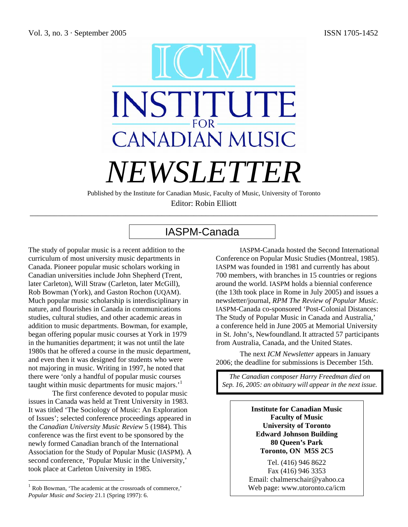

Published by the Institute for Canadian Music, Faculty of Music, University of Toronto Editor: Robin Elliott

\_\_\_\_\_\_\_\_\_\_\_\_\_\_\_\_\_\_\_\_\_\_\_\_\_\_\_\_\_\_\_\_\_\_\_\_\_\_\_\_\_\_\_\_\_\_\_\_\_\_\_\_\_\_\_\_\_\_\_\_\_\_\_\_\_\_\_\_\_\_\_\_\_\_\_\_\_\_\_\_\_\_\_\_\_\_\_

# IASPM-Canada

The study of popular music is a recent addition to the curriculum of most university music departments in Canada. Pioneer popular music scholars working in Canadian universities include John Shepherd (Trent, later Carleton), Will Straw (Carleton, later McGill), Rob Bowman (York), and Gaston Rochon (UQAM). Much popular music scholarship is interdisciplinary in nature, and flourishes in Canada in communications studies, cultural studies, and other academic areas in addition to music departments. Bowman, for example, began offering popular music courses at York in 1979 in the humanities department; it was not until the late 1980s that he offered a course in the music department, and even then it was designed for students who were not majoring in music. Writing in 1997, he noted that there were 'only a handful of popular music courses taught within music departments for music majors.<sup>'1</sup>

The first conference devoted to popular music issues in Canada was held at Trent University in 1983. It was titled 'The Sociology of Music: An Exploration of Issues'; selected conference proceedings appeared in the *Canadian University Music Review* 5 (1984). This conference was the first event to be sponsored by the newly formed Canadian branch of the International Association for the Study of Popular Music (IASPM). A second conference, 'Popular Music in the University,' took place at Carleton University in 1985.

 $<sup>1</sup>$  Rob Bowman, 'The academic at the crossroads of commerce,'</sup> *Popular Music and Society* 21.1 (Spring 1997): 6.

 $\overline{a}$ 

IASPM-Canada hosted the Second International Conference on Popular Music Studies (Montreal, 1985). IASPM was founded in 1981 and currently has about 700 members, with branches in 15 countries or regions around the world. IASPM holds a biennial conference (the 13th took place in Rome in July 2005) and issues a newsletter/journal, *RPM The Review of Popular Music*. IASPM-Canada co-sponsored 'Post-Colonial Distances: The Study of Popular Music in Canada and Australia,' a conference held in June 2005 at Memorial University in St. John's, Newfoundland.It attracted 57 participants from Australia, Canada, and the United States.

The next *ICM Newsletter* appears in January 2006; the deadline for submissions is December 15th.

*The Canadian composer Harry Freedman died on Sep. 16, 2005: an obituary will appear in the next issue.* 

> **Institute for Canadian Music Faculty of Music University of Toronto Edward Johnson Building 80 Queen's Park Toronto, ON M5S 2C5**

Tel. (416) 946 8622 Fax (416) 946 3353 Email: chalmerschair@yahoo.ca Web page: www.utoronto.ca/icm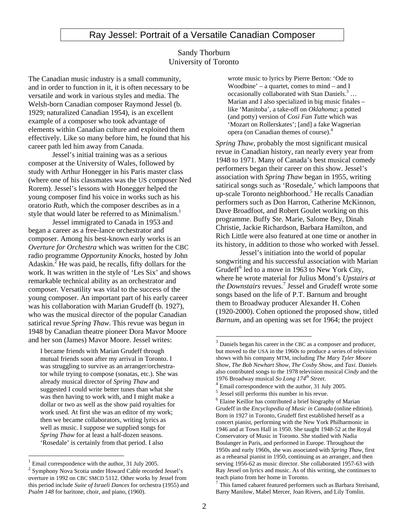## Ray Jessel: Portrait of a Versatile Canadian Composer

#### Sandy Thorburn University of Toronto

The Canadian music industry is a small community, and in order to function in it, it is often necessary to be versatile and work in various styles and media. The Welsh-born Canadian composer Raymond Jessel (b. 1929; naturalized Canadian 1954), is an excellent example of a composer who took advantage of elements within Canadian culture and exploited them effectively. Like so many before him, he found that his career path led him away from Canada.

Jessel's initial training was as a serious composer at the University of Wales, followed by study with Arthur Honegger in his Paris master class (where one of his classmates was the US composer Ned Rorem). Jessel's lessons with Honegger helped the young composer find his voice in works such as his oratorio *Ruth*, which the composer describes as in a style that would later be referred to as Minimalism.<sup>1</sup>

Jessel immigrated to Canada in 1953 and began a career as a free-lance orchestrator and composer. Among his best-known early works is an *Overture for Orchestra* which was written for the CBC radio programme *Opportunity Knocks*, hosted by John Adaskin.<sup>2</sup> He was paid, he recalls, fifty dollars for the work. It was written in the style of 'Les Six' and shows remarkable technical ability as an orchestrator and composer. Versatility was vital to the success of the young composer. An important part of his early career was his collaboration with Marian Grudeff (b. 1927), who was the musical director of the popular Canadian satirical revue *Spring Thaw*. This revue was begun in 1948 by Canadian theatre pioneer Dora Mavor Moore and her son (James) Mavor Moore. Jessel writes:

I became friends with Marian Grudeff through mutual friends soon after my arrival in Toronto. I was struggling to survive as an arranger/orchestrator while trying to compose (sonatas, etc.). She was already musical director of *Spring Thaw* and suggested I could write better tunes than what she was then having to work with, and I might make a dollar or two as well as the show paid royalties for work used. At first she was an editor of my work; then we became collaborators, writing lyrics as well as music. I suppose we supplied songs for *Spring Thaw* for at least a half-dozen seasons. 'Rosedale' is certainly from that period. I also

 $\overline{a}$ 

wrote music to lyrics by Pierre Berton: 'Ode to Woodbine' – a quartet, comes to mind – and I occasionally collaborated with Stan Daniels. $3 \dots$ Marian and I also specialized in big music finales – like 'Manitoba', a take-off on *Oklahoma*; a potted (and potty) version of *Cosi Fan Tutte* which was 'Mozart on Rollerskates'; [and] a fake Wagnerian opera (on Canadian themes of course).4

*Spring Thaw*, probably the most significant musical revue in Canadian history, ran nearly every year from 1948 to 1971. Many of Canada's best musical comedy performers began their career on this show. Jessel's association with *Spring Thaw* began in 1955, writing satirical songs such as 'Rosedale,' which lampoons that up-scale Toronto neighborhood.<sup>5</sup> He recalls Canadian performers such as Don Harron, Catherine McKinnon, Dave Broadfoot, and Robert Goulet working on this programme. Buffy Ste. Marie, Salome Bey, Dinah Christie, Jackie Richardson, Barbara Hamilton, and Rich Little were also featured at one time or another in its history, in addition to those who worked with Jessel.

Jessel's initiation into the world of popular songwriting and his successful association with Marian Grudeff<sup>6</sup> led to a move in 1963 to New York City, where he wrote material for Julius Mond's *Upstairs at*  the Downstairs revues.<sup>7</sup> Jessel and Grudeff wrote some songs based on the life of P.T. Barnum and brought them to Broadway producer Alexander H. Cohen (1920-2000). Cohen optioned the proposed show, titled *Barnum*, and an opening was set for 1964; the project

 $7$  This famed cabaret featured performers such as Barbara Streisand, Barry Manilow, Mabel Mercer, Joan Rivers, and Lily Tomlin.

 $1$  Email correspondence with the author, 31 July 2005.

<sup>2</sup> Symphony Nova Scotia under Howard Cable recorded Jessel's overture in 1992 on CBC SMCD 5112. Other works by Jessel from this period include *Suite of Israeli Dances* for orchestra (1955) and *Psalm 148* for baritone, choir, and piano, (1960).

 $3$  Daniels began his career in the CBC as a composer and producer, but moved to the USA in the 1960s to produce a series of television shows with his company MTM, including *The Mary Tyler Moore Show*, *The Bob Newhart Show*, *The Cosby Show*, and *Taxi*. Daniels also contributed songs to the 1978 television musical *Cindy* and the

<sup>&</sup>lt;sup>4</sup> Email correspondence with the author, 31 July 2005.

<sup>5</sup> Jessel still performs this number in his revue.

<sup>&</sup>lt;sup>6</sup> Elaine Keillor has contributed a brief biography of Marian Grudeff in the *Encyclopedia of Music in Canada* (online edition). Born in 1927 in Toronto, Grudeff first established herself as a concert pianist, performing with the New York Philharmonic in 1946 and at Town Hall in 1950. She taught 1948-52 at the Royal Conservatory of Music in Toronto. She studied with Nadia Boulanger in Paris, and performed in Europe. Throughout the 1950s and early 1960s, she was associated with *Spring Thaw*, first as a rehearsal pianist in 1950, continuing as an arranger, and then serving 1956-62 as music director. She collaborated 1957-63 with Ray Jessel on lyrics and music. As of this writing, she continues to teach piano from her home in Toronto.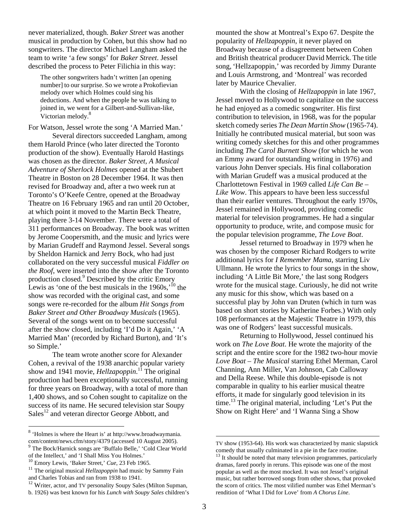never materialized, though. *Baker Street* was another musical in production by Cohen, but this show had no songwriters. The director Michael Langham asked the team to write 'a few songs' for *Baker Street*. Jessel described the process to Peter Filichia in this way:

The other songwriters hadn't written [an opening number] to our surprise. So we wrote a Prokofievian melody over which Holmes could sing his deductions. And when the people he was talking to joined in, we went for a Gilbert-and-Sullivan-like, Victorian melody.<sup>8</sup>

For Watson, Jessel wrote the song 'A Married Man.' Several directors succeeded Langham, among them Harold Prince (who later directed the Toronto production of the show). Eventually Harold Hastings was chosen as the director. *Baker Street, A Musical Adventure of Sherlock Holmes* opened at the Shubert Theatre in Boston on 28 December 1964. It was then revised for Broadway and, after a two week run at Toronto's O'Keefe Centre, opened at the Broadway Theatre on 16 February 1965 and ran until 20 October, at which point it moved to the Martin Beck Theatre, playing there 3-14 November. There were a total of 311 performances on Broadway. The book was written by Jerome Coopersmith, and the music and lyrics were by Marian Grudeff and Raymond Jessel. Several songs by Sheldon Harnick and Jerry Bock, who had just collaborated on the very successful musical *Fiddler on the Roof*, were inserted into the show after the Toronto production closed.<sup>9</sup> Described by the critic Emory Lewis as 'one of the best musicals in the  $1960s$ ,  $10$  the show was recorded with the original cast, and some songs were re-recorded for the album *Hit Songs from Baker Street and Other Broadway Musicals* (1965). Several of the songs went on to become successful after the show closed, including 'I'd Do it Again,' 'A Married Man' (recorded by Richard Burton), and 'It's so Simple.'

The team wrote another score for Alexander Cohen, a revival of the 1938 anarchic popular variety show and 1941 movie, *Hellzapoppin*.<sup>11</sup> The original production had been exceptionally successful, running for three years on Broadway, with a total of more than 1,400 shows, and so Cohen sought to capitalize on the success of its name. He secured television star Soupy  $Sales<sup>12</sup>$  and veteran director George Abbott, and

 $\overline{a}$ 

mounted the show at Montreal's Expo 67. Despite the popularity of *Hellzapoppin*, it never played on Broadway because of a disagreement between Cohen and British theatrical producer David Merrick. The title song, 'Hellzapoppin,' was recorded by Jimmy Durante and Louis Armstrong, and 'Montreal' was recorded later by Maurice Chevalier.

With the closing of *Hellzapoppin* in late 1967, Jessel moved to Hollywood to capitalize on the success he had enjoyed as a comedic songwriter. His first contribution to television, in 1968, was for the popular sketch comedy series *The Dean Martin Show* (1965-74). Initially he contributed musical material, but soon was writing comedy sketches for this and other programmes including *The Carol Burnett Show* (for which he won an Emmy award for outstanding writing in 1976) and various John Denver specials. His final collaboration with Marian Grudeff was a musical produced at the Charlottetown Festival in 1969 called *Life Can Be – Like Wow*. This appears to have been less successful than their earlier ventures. Throughout the early 1970s, Jessel remained in Hollywood, providing comedic material for television programmes. He had a singular opportunity to produce, write, and compose music for the popular television programme, *The Love Boat*.

Jessel returned to Broadway in 1979 when he was chosen by the composer Richard Rodgers to write additional lyrics for *I Remember Mama*, starring Liv Ullmann. He wrote the lyrics to four songs in the show, including 'A Little Bit More,' the last song Rodgers wrote for the musical stage. Curiously, he did not write any music for this show, which was based on a successful play by John van Druten (which in turn was based on short stories by Katherine Forbes.) With only 108 performances at the Majestic Theatre in 1979, this was one of Rodgers' least successful musicals.

Returning to Hollywood, Jessel continued his work on *The Love Boat*. He wrote the majority of the script and the entire score for the 1982 two-hour movie *Love Boat – The Musical* starring Ethel Merman, Carol Channing, Ann Miller, Van Johnson, Cab Calloway and Della Reese. While this double-episode is not comparable in quality to his earlier musical theatre efforts, it made for singularly good television in its time.<sup>13</sup> The original material, including 'Let's Put the Show on Right Here' and 'I Wanna Sing a Show

<sup>&</sup>lt;sup>8</sup> 'Holmes is where the Heart is' at http://www.broadwaymania.com/content/news.cfm/story/4379 (accessed 10 August 2005).

 $9$  The Bock/Harnick songs are 'Buffalo Belle,' 'Cold Clear World of the Intellect,' and 'I Shall Miss You Holmes.'<br> $^{10}$  Emory Lewis, 'Baker Street,' Cue, 23 Feb 1965.

<sup>&</sup>lt;sup>11</sup> The original musical *Hellzapoppin* had music by Sammy Fain and Charles Tobias and ran from 1938 to 1941.

<sup>&</sup>lt;sup>12</sup> Writer, actor, and TV personality Soupy Sales (Milton Supman,

b. 1926) was best known for his *Lunch with Soupy Sales* children's

TV show (1953-64). His work was characterized by manic slapstick comedy that usually culminated in a pie in the face routine.

 $13$  It should be noted that many television programmes, particularly dramas, fared poorly in reruns. This episode was one of the most popular as well as the most mocked. It was not Jessel's original music, but rather borrowed songs from other shows, that provoked the scorn of critics. The most vilified number was Ethel Merman's rendition of 'What I Did for Love' from *A Chorus Line*.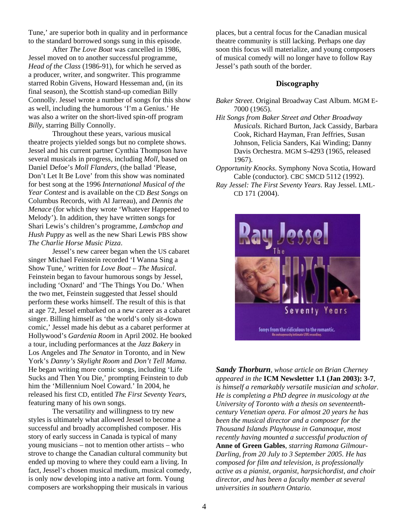Tune,' are superior both in quality and in performance to the standard borrowed songs sung in this episode.

After *The Love Boat* was cancelled in 1986, Jessel moved on to another successful programme, *Head of the Class* (1986-91), for which he served as a producer, writer, and songwriter. This programme starred Robin Givens, Howard Hesseman and, (in its final season), the Scottish stand-up comedian Billy Connolly. Jessel wrote a number of songs for this show as well, including the humorous 'I'm a Genius.' He was also a writer on the short-lived spin-off program *Billy*, starring Billy Connolly.

Throughout these years, various musical theatre projects yielded songs but no complete shows. Jessel and his current partner Cynthia Thompson have several musicals in progress, including *Moll*, based on Daniel Defoe's *Moll Flanders*, (the ballad 'Please, Don't Let It Be Love' from this show was nominated for best song at the 1996 *International Musical of the Year Contest* and is available on the CD *Best Songs* on Columbus Records, with Al Jarreau), and *Dennis the Menace* (for which they wrote 'Whatever Happened to Melody'). In addition, they have written songs for Shari Lewis's children's programme, *Lambchop and Hush Puppy* as well as the new Shari Lewis PBS show *The Charlie Horse Music Pizza*.

Jessel's new career began when the US cabaret singer Michael Feinstein recorded 'I Wanna Sing a Show Tune,' written for *Love Boat – The Musical*. Feinstein began to favour humorous songs by Jessel, including 'Oxnard' and 'The Things You Do.' When the two met, Feinstein suggested that Jessel should perform these works himself. The result of this is that at age 72, Jessel embarked on a new career as a cabaret singer. Billing himself as 'the world's only sit-down comic,' Jessel made his debut as a cabaret performer at Hollywood's *Gardenia Room* in April 2002. He booked a tour, including performances at the *Jazz Bakery* in Los Angeles and *The Senator* in Toronto, and in New York's *Danny's Skylight Room* and *Don't Tell Mama*. He began writing more comic songs, including 'Life Sucks and Then You Die,' prompting Feinstein to dub him the 'Millennium Noel Coward.' In 2004, he released his first CD, entitled *The First Seventy Years*, featuring many of his own songs.

 The versatility and willingness to try new styles is ultimately what allowed Jessel to become a successful and broadly accomplished composer. His story of early success in Canada is typical of many young musicians – not to mention other artists – who strove to change the Canadian cultural community but ended up moving to where they could earn a living. In fact, Jessel's chosen musical medium, musical comedy, is only now developing into a native art form. Young composers are workshopping their musicals in various

places, but a central focus for the Canadian musical theatre community is still lacking. Perhaps one day soon this focus will materialize, and young composers of musical comedy will no longer have to follow Ray Jessel's path south of the border.

#### **Discography**

- *Baker Street*. Original Broadway Cast Album. MGM E-7000 (1965).
- *Hit Songs from Baker Street and Other Broadway Musicals*. Richard Burton, Jack Cassidy, Barbara Cook, Richard Hayman, Fran Jeffries, Susan Johnson, Felicia Sanders, Kai Winding; Danny Davis Orchestra. MGM S-4293 (1965, released 1967).
- *Opportunity Knocks*. Symphony Nova Scotia, Howard Cable (conductor). CBC SMCD 5112 (1992).
- *Ray Jessel: The First Seventy Years*. Ray Jessel. LML-CD 171 (2004).



*Sandy Thorburn, whose article on Brian Cherney appeared in the* **ICM Newsletter 1.1 (Jan 2003): 3-7***, is himself a remarkably versatile musician and scholar. He is completing a PhD degree in musicology at the University of Toronto with a thesis on seventeenthcentury Venetian opera. For almost 20 years he has been the musical director and a composer for the Thousand Islands Playhouse in Gananoque, most recently having mounted a successful production of* **Anne of Green Gables**, *starring Ramona Gilmour-Darling*, *from 20 July to 3 September 2005. He has composed for film and television, is professionally active as a pianist, organist, harpsichordist, and choir director, and has been a faculty member at several universities in southern Ontario.*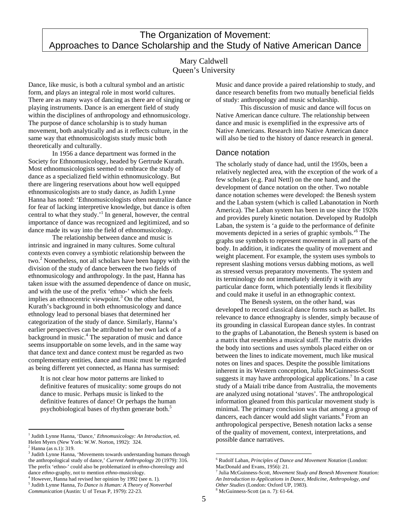## The Organization of Movement: Approaches to Dance Scholarship and the Study of Native American Dance

## Mary Caldwell Queen's University

Dance, like music, is both a cultural symbol and an artistic form, and plays an integral role in most world cultures. There are as many ways of dancing as there are of singing or playing instruments. Dance is an emergent field of study within the disciplines of anthropology and ethnomusicology. The purpose of dance scholarship is to study human movement, both analytically and as it reflects culture, in the same way that ethnomusicologists study music both theoretically and culturally.

 In 1956 a dance department was formed in the Society for Ethnomusicology, headed by Gertrude Kurath. Most ethnomusicologists seemed to embrace the study of dance as a specialized field within ethnomusicology. But there are lingering reservations about how well equipped ethnomusicologists are to study dance, as Judith Lynne Hanna has noted: 'Ethnomusicologists often neutralize dance for fear of lacking interpretive knowledge, but dance is often central to what they study.'1 In general, however, the central importance of dance was recognized and legitimized, and so dance made its way into the field of ethnomusicology.

 The relationship between dance and music is intrinsic and ingrained in many cultures. Some cultural contexts even convey a symbiotic relationship between the two.<sup>2</sup> Nonetheless, not all scholars have been happy with the division of the study of dance between the two fields of ethnomusicology and anthropology. In the past, Hanna has taken issue with the assumed dependence of dance on music, and with the use of the prefix 'ethno-' which she feels implies an ethnocentric viewpoint.<sup>3</sup> On the other hand, Kurath's background in both ethnomusicology and dance ethnology lead to personal biases that determined her categorization of the study of dance. Similarly, Hanna's earlier perspectives can be attributed to her own lack of a background in music.<sup>4</sup> The separation of music and dance seems insupportable on some levels, and in the same way that dance text and dance context must be regarded as two complementary entities, dance and music must be regarded as being different yet connected, as Hanna has surmised:

It is not clear how motor patterns are linked to definitive features of musicality: some groups do not dance to music. Perhaps music is linked to the definitive features of dance! Or perhaps the human psychobiological bases of rhythm generate both.<sup>5</sup>

 $\overline{a}$ 

Music and dance provide a paired relationship to study, and dance research benefits from two mutually beneficial fields of study: anthropology and music scholarship.

 This discussion of music and dance will focus on Native American dance culture. The relationship between dance and music is exemplified in the expressive arts of Native Americans. Research into Native American dance will also be tied to the history of dance research in general.

### Dance notation

The scholarly study of dance had, until the 1950s, been a relatively neglected area, with the exception of the work of a few scholars (e.g. Paul Nettl) on the one hand, and the development of dance notation on the other. Two notable dance notation schemes were developed: the Benesh system and the Laban system (which is called Labanotation in North America). The Laban system has been in use since the 1920s and provides purely kinetic notation. Developed by Rudolph Laban, the system is 'a guide to the performance of definite movements depicted in a series of graphic symbols.'<sup>6</sup> The graphs use symbols to represent movement in all parts of the body. In addition, it indicates the quality of movement and weight placement. For example, the system uses symbols to represent slashing motions versus dabbing motions, as well as stressed versus preparatory movements. The system and its terminology do not immediately identify it with any particular dance form, which potentially lends it flexibility and could make it useful in an ethnographic context.

 The Benesh system, on the other hand, was developed to record classical dance forms such as ballet. Its relevance to dance ethnography is slender, simply because of its grounding in classical European dance styles. In contrast to the graphs of Labanotation, the Benesh system is based on a matrix that resembles a musical staff. The matrix divides the body into sections and uses symbols placed either on or between the lines to indicate movement, much like musical notes on lines and spaces. Despite the possible limitations inherent in its Western conception, Julia McGuinness-Scott suggests it may have anthropological applications.<sup>7</sup> In a case study of a Maiali tribe dance from Australia, the movements are analyzed using notational 'staves'. The anthropological information gleaned from this particular movement study is minimal. The primary conclusion was that among a group of dancers, each dancer would add slight variants.<sup>8</sup> From an anthropological perspective, Benesh notation lacks a sense of the quality of movement, context, interpretations, and possible dance narratives.

<sup>&</sup>lt;sup>1</sup> Judith Lynne Hanna, 'Dance,' *Ethnomusicology: An Introduction*, ed. Helen Myers (New York: W.W. Norton, 1992): 324. 2

Hanna (as n.1): 319.

<sup>&</sup>lt;sup>3</sup> Judith Lynne Hanna, 'Movements towards understanding humans through the anthropological study of dance,' *Current Anthropology* 20 (1979): 316. The prefix 'ethno-' could also be problematized in *ethno*-choreology and dance *ethno*-graphy, not to mention *ethno*-musicology. 4

However, Hanna had revised her opinion by 1992 (see n. 1)*.*

<sup>5</sup> Judith Lynne Hanna, *To Dance is Human: A Theory of Nonverbal Communication* (Austin: U of Texas P, 1979): 22-23.

 $\overline{a}$ 6 Rudolf Laban, *Principles of Dance and Movement Notation* (London: MacDonald and Evans, 1956): 21.

<sup>7</sup> Julia McGuinness-Scott, *Movement Study and Benesh Movement Notation: An Introduction to Applications in Dance, Medicine, Anthropology, and*  Other Studies (London: Oxford UP, 1983).

McGuinness-Scott (as n. 7): 61-64.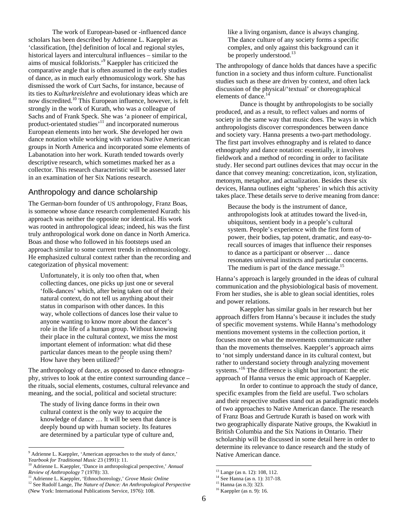The work of European-based or -influenced dance scholars has been described by Adrienne L. Kaeppler as 'classification, [the] definition of local and regional styles, historical layers and intercultural influences – similar to the aims of musical folklorists.'9 Kaeppler has criticized the comparative angle that is often assumed in the early studies of dance, as in much early ethnomusicology work. She has dismissed the work of Curt Sachs, for instance, because of its ties to *Kulturkreislehre* and evolutionary ideas which are now discredited.10 This European influence, however, is felt strongly in the work of Kurath, who was a colleague of Sachs and of Frank Speck. She was 'a pioneer of empirical, product-orientated studies'<sup>11</sup> and incorporated numerous European elements into her work. She developed her own dance notation while working with various Native American groups in North America and incorporated some elements of Labanotation into her work. Kurath tended towards overly descriptive research, which sometimes marked her as a collector. This research characteristic will be assessed later in an examination of her Six Nations research.

## Anthropology and dance scholarship

The German-born founder of US anthropology, Franz Boas, is someone whose dance research complemented Kurath: his approach was neither the opposite nor identical. His work was rooted in anthropological ideas; indeed, his was the first truly anthropological work done on dance in North America. Boas and those who followed in his footsteps used an approach similar to some current trends in ethnomusicology. He emphasized cultural context rather than the recording and categorization of physical movement:

Unfortunately, it is only too often that, when collecting dances, one picks up just one or several 'folk-dances' which, after being taken out of their natural context, do not tell us anything about their status in comparison with other dances. In this way, whole collections of dances lose their value to anyone wanting to know more about the dancer's role in the life of a human group. Without knowing their place in the cultural context, we miss the most important element of information: what did these particular dances mean to the people using them? How have they been utilized?<sup>12</sup>

The anthropology of dance, as opposed to dance ethnography, strives to look at the entire context surrounding dance – the rituals, social elements, costumes, cultural relevance and meaning, and the social, political and societal structure:

The study of living dance forms in their own cultural context is the only way to acquire the knowledge of dance … It will be seen that dance is deeply bound up with human society. Its features are determined by a particular type of culture and,

 $\overline{a}$ 

like a living organism, dance is always changing. The dance culture of any society forms a specific complex, and only against this background can it be properly understood.<sup>13</sup>

The anthropology of dance holds that dances have a specific function in a society and thus inform culture. Functionalist studies such as these are driven by context, and often lack discussion of the physical/'textual' or choreographical elements of dance.<sup>14</sup>

 Dance is thought by anthropologists to be socially produced, and as a result, to reflect values and norms of society in the same way that music does. The ways in which anthropologists discover correspondences between dance and society vary. Hanna presents a two-part methodology. The first part involves ethnography and is related to dance ethnography and dance notation: essentially, it involves fieldwork and a method of recording in order to facilitate study. Her second part outlines devices that may occur in the dance that convey meaning: concretization, icon, stylization, metonym, metaphor, and actualization. Besides these six devices, Hanna outlines eight 'spheres' in which this activity takes place.These details serve to derive meaning from dance:

Because the body is the instrument of dance, anthropologists look at attitudes toward the lived-in, ubiquitous, sentient body in a people's cultural system. People's experience with the first form of power, their bodies, tap potent, dramatic, and easy-torecall sources of images that influence their responses to dance as a participant or observer … dance resonates universal instincts and particular concerns. The medium is part of the dance message.<sup>15</sup>

Hanna's approach is largely grounded in the ideas of cultural communication and the physiobiological basis of movement. From her studies, she is able to glean social identities, roles and power relations.

 Kaeppler has similar goals in her research but her approach differs from Hanna's because it includes the study of specific movement systems. While Hanna's methodology mentions movement systems in the collection portion, it focuses more on what the movements communicate rather than the movements themselves. Kaeppler's approach aims to 'not simply understand dance in its cultural context, but rather to understand society through analyzing movement systems.<sup>16</sup> The difference is slight but important: the etic approach of Hanna versus the emic approach of Kaeppler.

 In order to continue to approach the study of dance, specific examples from the field are useful. Two scholars and their respective studies stand out as paradigmatic models of two approaches to Native American dance. The research of Franz Boas and Gertrude Kurath is based on work with two geographically disparate Native groups, the Kwakiutl in British Columbia and the Six Nations in Ontario. Their scholarship will be discussed in some detail here in order to determine its relevance to dance research and the study of Native American dance.

<sup>&</sup>lt;sup>9</sup> Adrienne L. Kaeppler, 'American approaches to the study of dance,' *Yearbook for Traditional Music* 23 (1991): 11. 10 Adrienne L. Kaeppler, 'Dance in anthropological perspective,' *Annual* 

*Review of Anthropology* 7 (1978): 33. 11 Adrienne L. Kaeppler, 'Ethnochoreology,' *Grove Music Online*

<sup>&</sup>lt;sup>12</sup> See Rudolf Lange, *The Nature of Dance: An Anthropological Perspective* (New York: International Publications Service, 1976): 108.

<sup>13</sup> Lange (as n. 12): 108, 112.

<sup>14</sup> See Hanna (as n. 1): 317-18.

<sup>15</sup> Hanna (as n.3): 323.

<sup>16</sup> Kaeppler (as n. 9): 16.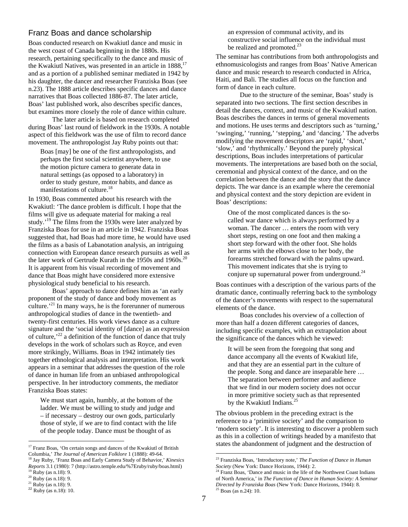#### Franz Boas and dance scholarship

Boas conducted research on Kwakiutl dance and music in the west coast of Canada beginning in the 1880s. His research, pertaining specifically to the dance and music of the Kwakiutl Natives, was presented in an article in 1888,<sup>17</sup> and as a portion of a published seminar mediated in 1942 by his daughter, the dancer and researcher Franziska Boas (see n.23). The 1888 article describes specific dances and dance narratives that Boas collected 1886-87. The later article, Boas' last published work, also describes specific dances, but examines more closely the role of dance within culture.

 The later article is based on research completed during Boas' last round of fieldwork in the 1930s. A notable aspect of this fieldwork was the use of film to record dance movement. The anthropologist Jay Ruby points out that:

Boas [may] be one of the first anthropologists, and perhaps the first social scientist anywhere, to use the motion picture camera to generate data in natural settings (as opposed to a laboratory) in order to study gesture, motor habits, and dance as manifestations of culture.<sup>18</sup>

In 1930, Boas commented about his research with the Kwakiutl: 'The dance problem is difficult. I hope that the films will give us adequate material for making a real study.<sup>19</sup> The films from the 1930s were later analyzed by Franziska Boas for use in an article in 1942. Franziska Boas suggested that, had Boas had more time, he would have used the films as a basis of Labanotation analysis, an intriguing connection with European dance research pursuits as well as the later work of Gertrude Kurath in the 1950s and  $1960s$ .<sup>20</sup> It is apparent from his visual recording of movement and dance that Boas might have considered more extensive physiological study beneficial to his research.

 Boas' approach to dance defines him as 'an early proponent of the study of dance and body movement as culture.<sup> $21$ </sup> In many ways, he is the forerunner of numerous anthropological studies of dance in the twentieth- and twenty-first centuries. His work views dance as a culture signature and the 'social identity of [dance] as an expression of culture,'22 a definition of the function of dance that truly develops in the work of scholars such as Royce, and even more strikingly, Williams. Boas in 1942 intimately ties together ethnological analysis and interpretation. His work appears in a seminar that addresses the question of the role of dance in human life from an unbiased anthropological perspective. In her introductory comments, the mediator Franziska Boas states:

We must start again, humbly, at the bottom of the ladder. We must be willing to study and judge and – if necessary – destroy our own gods, particularly those of style, if we are to find contact with the life of the people today. Dance must be thought of as

an expression of communal activity, and its constructive social influence on the individual must be realized and promoted.<sup>23</sup>

The seminar has contributions from both anthropologists and ethnomusicologists and ranges from Boas' Native American dance and music research to research conducted in Africa, Haiti, and Bali. The studies all focus on the function and form of dance in each culture.

 Due to the structure of the seminar, Boas' study is separated into two sections. The first section describes in detail the dances, context, and music of the Kwakiutl nation. Boas describes the dances in terms of general movements and motions. He uses terms and descriptors such as 'turning,' 'swinging,' 'running,' 'stepping,' and 'dancing.' The adverbs modifying the movement descriptors are 'rapid,' 'short,' 'slow,' and 'rhythmically.' Beyond the purely physical descriptions, Boas includes interpretations of particular movements. The interpretations are based both on the social, ceremonial and physical context of the dance, and on the correlation between the dance and the story that the dance depicts. The war dance is an example where the ceremonial and physical context and the story depiction are evident in Boas' descriptions:

One of the most complicated dances is the socalled war dance which is always performed by a woman. The dancer … enters the room with very short steps, resting on one foot and then making a short step forward with the other foot. She holds her arms with the elbows close to her body, the forearms stretched forward with the palms upward. This movement indicates that she is trying to conjure up supernatural power from underground.<sup>24</sup>

Boas continues with a description of the various parts of the dramatic dance, continually referring back to the symbology of the dancer's movements with respect to the supernatural elements of the dance.

 Boas concludes his overview of a collection of more than half a dozen different categories of dances, including specific examples, with an extrapolation about the significance of the dances which he viewed:

It will be seen from the foregoing that song and dance accompany all the events of Kwakiutl life, and that they are an essential part in the culture of the people. Song and dance are inseparable here … The separation between performer and audience that we find in our modern society does not occur in more primitive society such as that represented by the Kwakiutl Indians.<sup>25</sup>

The obvious problem in the preceding extract is the reference to a 'primitive society' and the comparison to 'modern society'. It is interesting to discover a problem such as this in a collection of writings headed by a manifesto that states the abandonment of judgment and the destruction of

<sup>&</sup>lt;sup>17</sup> Franz Boas, 'On certain songs and dances of the Kwakiutl of British <sup>17</sup> Franz Boas, 'On certain songs and dances of the Kwakiutl of British<br>Columbia,' *The Journal of American Folklore* 1 (1888): 49-64.

Columbia,' *The Journal of American Folklore* 1 (1888): 49-64. 18 Jay Ruby, 'Franz Boas and Early Camera Study of Behavior,' *Kinesics Reports* 3.1 (1980): 7 (http://astro.temple.edu/%7Eruby/ruby/boas.html) <sup>19</sup> Ruby (as n.18): 9.

 $20$  Ruby (as n.18): 9.

 $21$  Ruby (as n.18): 9.

 $22$  Ruby (as n.18): 10.

<sup>&</sup>lt;sup>23</sup> Franziska Boas, 'Introductory note,' *The Function of Dance in Human Society* (New York: Dance Horizons. 1944): 2.

<sup>&</sup>lt;sup>24</sup> Franz Boas, 'Dance and music in the life of the Northwest Coast Indians of North America,' in *The Function of Dance in Human Society: A Seminar Directed by Franziska Boas* (New York: Dance Horizons, 1944): 8. 25 Boas (as n.24): 10.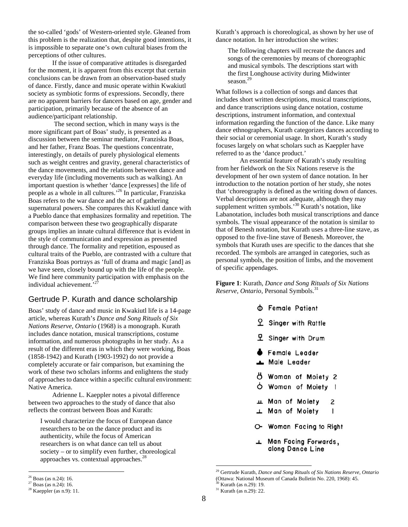the so-called 'gods' of Western-oriented style. Gleaned from this problem is the realization that, despite good intentions, it is impossible to separate one's own cultural biases from the perceptions of other cultures.

If the issue of comparative attitudes is disregarded for the moment, it is apparent from this excerpt that certain conclusions can be drawn from an observation-based study of dance. Firstly, dance and music operate within Kwakiutl society as symbiotic forms of expressions. Secondly, there are no apparent barriers for dancers based on age, gender and participation, primarily because of the absence of an audience/participant relationship.

 The second section, which in many ways is the more significant part of Boas' study, is presented as a discussion between the seminar mediator, Franziska Boas, and her father, Franz Boas. The questions concentrate, interestingly, on details of purely physiological elements such as weight centres and gravity, general characteristics of the dance movements, and the relations between dance and everyday life (including movements such as walking). An important question is whether 'dance [expresses] the life of people as a whole in all cultures.'26 In particular, Franziska Boas refers to the war dance and the act of gathering supernatural powers. She compares this Kwakiutl dance with a Pueblo dance that emphasizes formality and repetition. The comparison between these two geographically disparate groups implies an innate cultural difference that is evident in the style of communication and expression as presented through dance. The formality and repetition, espoused as cultural traits of the Pueblo, are contrasted with a culture that Franziska Boas portrays as 'full of drama and magic [and] as we have seen, closely bound up with the life of the people. We find here community participation with emphasis on the individual achievement.'

## Gertrude P. Kurath and dance scholarship

Boas' study of dance and music in Kwakiutl life is a 14-page article, whereas Kurath's *Dance and Song Rituals of Six Nations Reserve, Ontario* (1968) is a monograph. Kurath includes dance notation, musical transcriptions, costume information, and numerous photographs in her study. As a result of the different eras in which they were working, Boas (1858-1942) and Kurath (1903-1992) do not provide a completely accurate or fair comparison, but examining the work of these two scholars informs and enlightens the study of approaches to dance within a specific cultural environment: Native America.

Adrienne L. Kaeppler notes a pivotal difference between two approaches to the study of dance that also reflects the contrast between Boas and Kurath:

I would characterize the focus of European dance researchers to be on the dance product and its authenticity, while the focus of American researchers is on what dance can tell us about society – or to simplify even further, choreological approaches vs. contextual approaches.<sup>28</sup>

 $\overline{a}$ 

Kurath's approach is choreological, as shown by her use of dance notation. In her introduction she writes:

The following chapters will recreate the dances and songs of the ceremonies by means of choreographic and musical symbols. The descriptions start with the first Longhouse activity during Midwinter season.<sup>29</sup>

What follows is a collection of songs and dances that includes short written descriptions, musical transcriptions, and dance transcriptions using dance notation, costume descriptions, instrument information, and contextual information regarding the function of the dance. Like many dance ethnographers, Kurath categorizes dances according to their social or ceremonial usage. In short, Kurath's study focuses largely on what scholars such as Kaeppler have referred to as the 'dance product.'

An essential feature of Kurath's study resulting from her fieldwork on the Six Nations reserve is the development of her own system of dance notation. In her introduction to the notation portion of her study, she notes that 'choreography is defined as the writing down of dances. Verbal descriptions are not adequate, although they may supplement written symbols.<sup>30</sup> Kurath's notation, like Labanotation, includes both musical transcriptions and dance symbols. The visual appearance of the notation is similar to that of Benesh notation, but Kurath uses a three-line stave, as opposed to the five-line stave of Benesh. Moreover, the symbols that Kurath uses are specific to the dances that she recorded. The symbols are arranged in categories, such as personal symbols, the position of limbs, and the movement of specific appendages.

**Figure 1**: Kurath, *Dance and Song Rituals of Six Nations Reserve, Ontario*, Personal Symbols.<sup>31</sup>

|  | <b>D</b> Female Patient                  |   |
|--|------------------------------------------|---|
|  | 2 Singer with Rattle                     |   |
|  | 모 Singer with Drum                       |   |
|  | Female Leader<br>▲ Male Leader           |   |
|  | O Woman of Moiety 2<br>o Woman of Moiety |   |
|  | ш Man of Moiety 2<br>工 Man of Moiety     | 1 |
|  |                                          |   |

O- Woman Facing to Right

2 T

Man Facing Forwards, ᅩ along Dance Line

<sup>&</sup>lt;sup>26</sup> Boas (as n.24): 16.<br><sup>27</sup> Boas (as n.24): 16.<br><sup>28</sup> Kaeppler (as n.9): 11.

<sup>29</sup> Gertrude Kurath, *Dance and Song Rituals of Six Nations Reserve, Ontario* (Ottawa: National Museum of Canada Bulletin No. 220, 1968): 45.

<sup>30</sup> Kurath (as n.29): 19. $31$  Kurath (as n.29): 22.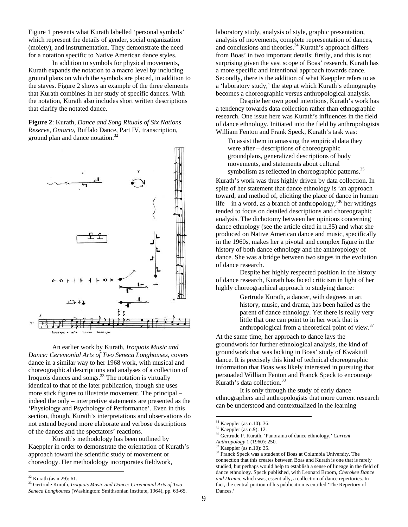Figure 1 presents what Kurath labelled 'personal symbols' which represent the details of gender, social organization (moiety), and instrumentation. They demonstrate the need for a notation specific to Native American dance styles.

In addition to symbols for physical movements, Kurath expands the notation to a macro level by including ground plans on which the symbols are placed, in addition to the staves. Figure 2 shows an example of the three elements that Kurath combines in her study of specific dances. With the notation, Kurath also includes short written descriptions that clarify the notated dance.

**Figure 2**: Kurath, *Dance and Song Rituals of Six Nations Reserve, Ontario*, Buffalo Dance, Part IV, transcription, ground plan and dance notation.<sup>32</sup>



An earlier work by Kurath, *Iroquois Music and Dance: Ceremonial Arts of Two Seneca Longhouses*, covers dance in a similar way to her 1968 work, with musical and choreographical descriptions and analyses of a collection of Iroquois dances and songs. 33 The notation is virtually identical to that of the later publication, though she uses more stick figures to illustrate movement. The principal – indeed the only – interpretive statements are presented as the 'Physiology and Psychology of Performance'. Even in this section, though, Kurath's interpretations and observations do not extend beyond more elaborate and verbose descriptions of the dances and the spectators' reactions.

Kurath's methodology has been outlined by Kaeppler in order to demonstrate the orientation of Kurath's approach toward the scientific study of movement or choreology. Her methodology incorporates fieldwork,

 $\overline{a}$ 

laboratory study, analysis of style, graphic presentation, analysis of movements, complete representation of dances, and conclusions and theories.<sup>34</sup> Kurath's approach differs from Boas' in two important details: firstly, and this is not surprising given the vast scope of Boas' research, Kurath has a more specific and intentional approach towards dance. Secondly, there is the addition of what Kaeppler refers to as a 'laboratory study,' the step at which Kurath's ethnography becomes a choreographic versus anthropological analysis.

Despite her own good intentions, Kurath's work has a tendency towards data collection rather than ethnographic research. One issue here was Kurath's influences in the field of dance ethnology. Initiated into the field by anthropologists William Fenton and Frank Speck, Kurath's task was:

To assist them in amassing the empirical data they were after – descriptions of choreographic groundplans, generalized descriptions of body movements, and statements about cultural symbolism as reflected in choreographic patterns.<sup>35</sup>

Kurath's work was thus highly driven by data collection. In spite of her statement that dance ethnology is 'an approach toward, and method of, eliciting the place of dance in human life – in a word, as a branch of anthropology,<sup>36</sup> her writings tended to focus on detailed descriptions and choreographic analysis. The dichotomy between her opinions concerning dance ethnology (see the article cited in n.35) and what she produced on Native American dance and music, specifically in the 1960s, makes her a pivotal and complex figure in the history of both dance ethnology and the anthropology of dance. She was a bridge between two stages in the evolution of dance research.

Despite her highly respected position in the history of dance research, Kurath has faced criticism in light of her highly choreographical approach to studying dance:

> Gertrude Kurath, a dancer, with degrees in art history, music, and drama, has been hailed as the parent of dance ethnology. Yet there is really very little that one can point to in her work that is anthropological from a theoretical point of view.<sup>37</sup>

At the same time, her approach to dance lays the groundwork for further ethnological analysis, the kind of groundwork that was lacking in Boas' study of Kwakiutl dance. It is precisely this kind of technical choreographic information that Boas was likely interested in pursuing that persuaded William Fenton and Franck Speck to encourage Kurath's data collection.<sup>38</sup>

It is only through the study of early dance ethnographers and anthropologists that more current research can be understood and contextualized in the learning

<sup>32</sup> Kurath (as n.29): 61.

<sup>33</sup> Gertrude Kurath, *Iroquois Music and Dance: Ceremonial Arts of Two Seneca Longhouses* (Washington: Smithsonian Institute, 1964), pp. 63-65.

 $34 \text{ Kaepler (as n.10):} 36.$ <br> $35 \text{ Kaepler (as n.9):} 12.$ 

<sup>36</sup> Gertrude P. Kurath, 'Panorama of dance ethnology,' *Current* 

*Anthropology* 1 (1960): 250. Kaeppler (as  $n.10$ ): 35.

<sup>&</sup>lt;sup>38</sup> Franck Speck was a student of Boas at Columbia University. The connection that this creates between Boas and Kurath is one that is rarely studied, but perhaps would help to establish a sense of lineage in the field of dance ethnology. Speck published, with Leonard Broom, *Cherokee Dance and Drama*, which was, essentially, a collection of dance repertories. In fact, the central portion of his publication is entitled 'The Repertory of Dances.'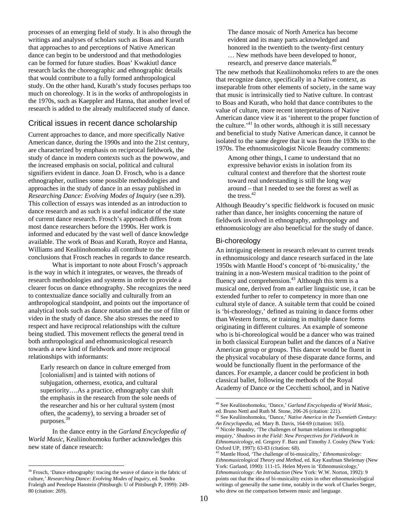processes of an emerging field of study. It is also through the writings and analyses of scholars such as Boas and Kurath that approaches to and perceptions of Native American dance can begin to be understood and that methodologies can be formed for future studies. Boas' Kwakiutl dance research lacks the choreographic and ethnographic details that would contribute to a fully formed anthropological study. On the other hand, Kurath's study focuses perhaps too much on choreology. It is in the works of anthropologists in the 1970s, such as Kaeppler and Hanna, that another level of research is added to the already multifaceted study of dance.

## Critical issues in recent dance scholarship

Current approaches to dance, and more specifically Native American dance, during the 1990s and into the 21st century, are characterized by emphasis on reciprocal fieldwork, the study of dance in modern contexts such as the powwow, and the increased emphasis on social, political and cultural signifiers evident in dance. Joan D. Frosch, who is a dance ethnographer, outlines some possible methodologies and approaches in the study of dance in an essay published in *Researching Dance: Evolving Modes of Inquiry* (see n.39). This collection of essays was intended as an introduction to dance research and as such is a useful indicator of the state of current dance research. Frosch's approach differs from most dance researchers before the 1990s. Her work is informed and educated by the vast well of dance knowledge available. The work of Boas and Kurath, Royce and Hanna, Williams and Kealiinohomoku all contribute to the conclusions that Frosch reaches in regards to dance research.

 What is important to note about Frosch's approach is the way in which it integrates, or weaves, the threads of research methodologies and systems in order to provide a clearer focus on dance ethnography. She recognizes the need to contextualize dance socially and culturally from an anthropological standpoint, and points out the importance of analytical tools such as dance notation and the use of film or video in the study of dance. She also stresses the need to respect and have reciprocal relationships with the culture being studied. This movement reflects the general trend in both anthropological and ethnomusicological research towards a new kind of fieldwork and more reciprocal relationships with informants:

Early research on dance in culture emerged from [colonialism] and is tainted with notions of subjugation, otherness, exotica, and cultural superiority….As a practice, ethnography can shift the emphasis in the research from the sole needs of the researcher and his or her cultural system (most often, the academy), to serving a broader set of purposes.39

 In the dance entry in the *Garland Encyclopedia of World Music*, Kealiinohomoku further acknowledges this new state of dance research:

 $\overline{a}$ 

The dance mosaic of North America has become evident and its many parts acknowledged and honored in the twentieth to the twenty-first century … New methods have been developed to honor, research, and preserve dance materials.<sup>40</sup>

The new methods that Kealiinohomoku refers to are the ones that recognize dance, specifically in a Native context, as inseparable from other elements of society, in the same way that music is intrinsically tied to Native culture. In contrast to Boas and Kurath, who hold that dance contributes to the value of culture, more recent interpretations of Native American dance view it as 'inherent to the proper function of the culture.<sup> $41$ </sup> In other words, although it is still necessary and beneficial to study Native American dance, it cannot be isolated to the same degree that it was from the 1930s to the 1970s. The ethnomusicologist Nicole Beaudry comments:

Among other things, I came to understand that no expressive behavior exists in isolation from its cultural context and therefore that the shortest route toward real understanding is still the long way around – that I needed to see the forest as well as the tress. $42$ 

Although Beaudry's specific fieldwork is focused on music rather than dance, her insights concerning the nature of fieldwork involved in ethnography, anthropology and ethnomusicology are also beneficial for the study of dance.

### Bi-choreology

An intriguing element in research relevant to current trends in ethnomusicology and dance research surfaced in the late 1950s with Mantle Hood's concept of 'bi-musicality,' the training in a non-Western musical tradition to the point of fluency and comprehension.<sup>43</sup> Although this term is a musical one, derived from an earlier linguistic use, it can be extended further to refer to competency in more than one cultural style of dance. A suitable term that could be coined is 'bi-choreology,' defined as training in dance forms other than Western forms, or training in multiple dance forms originating in different cultures. An example of someone who is bi-choreological would be a dancer who was trained in both classical European ballet and the dances of a Native American group or groups. This dancer would be fluent in the physical vocabulary of these disparate dance forms, and would be functionally fluent in the performance of the dances. For example, a dancer could be proficient in both classical ballet, following the methods of the Royal Academy of Dance or the Cecchetti school, and in Native

<sup>&</sup>lt;sup>39</sup> Frosch, 'Dance ethnography: tracing the weave of dance in the fabric of culture,' *Researching Dance: Evolving Modes of Inquiry*, ed. Sondra Fraleigh and Penelope Hanstein (Pittsburgh: U of Pittsburgh P, 1999): 249- 80 (citation: 269).

<sup>40</sup> See Kealiinohomoku, 'Dance,' *Garland Encyclopedia of World Music*, ed. Bruno Nettl and Ruth M. Stone, 206-26 (citation: 221).

<sup>41</sup> See Kealiinohomoku, 'Dance,' *Native America in the Twentieth Century: An Encyclopedia*, ed. Mary B. Davis, 164-69 (citation: 165). 42 Nicole Beaudry, 'The challenges of human relations in ethnographic

enquiry,' *Shadows in the Field: New Perspectives for Fieldwork in Ethnomusicology*, ed. Gregory F. Barz and Timothy J. Cooley (New York: Oxford UP, 1997): 63-83 (citation: 68).

<sup>43</sup> Mantle Hood, 'The challenge of bi-musicality,' *Ethnomusicology: Ethnomusicological Theory and Method*, ed. Kay Kaufman Shelemay (New York: Garland, 1990): 111-15. Helen Myers in 'Ethnomusicology,' *Ethnomusicology: An Introduction* (New York: W.W. Norton, 1992): 9 points out that the idea of bi-musicality exists in other ethnomusicological writings of generally the same time, notably in the work of Charles Seeger, who drew on the comparison between music and language.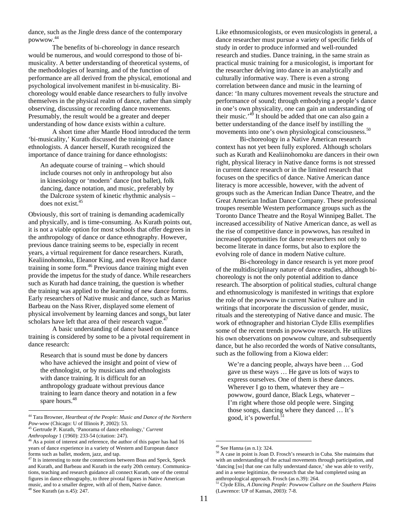dance, such as the Jingle dress dance of the contemporary powwow.44

 The benefits of bi-choreology in dance research would be numerous, and would correspond to those of bimusicality. A better understanding of theoretical systems, of the methodologies of learning, and of the function of performance are all derived from the physical, emotional and psychological involvement manifest in bi-musicality. Bichoreology would enable dance researchers to fully involve themselves in the physical realm of dance, rather than simply observing, discussing or recording dance movements. Presumably, the result would be a greater and deeper understanding of how dance exists within a culture.

A short time after Mantle Hood introduced the term 'bi-musicality,' Kurath discussed the training of dance ethnologists. A dancer herself, Kurath recognized the importance of dance training for dance ethnologists:

An adequate course of training – which should include courses not only in anthropology but also in kinesiology or 'modern' dance (not ballet), folk dancing, dance notation, and music, preferably by the Dalcroze system of kinetic rhythmic analysis – does not exist.<sup>45</sup>

Obviously, this sort of training is demanding academically and physically, and is time-consuming. As Kurath points out, it is not a viable option for most schools that offer degrees in the anthropology of dance or dance ethnography. However, previous dance training seems to be, especially in recent years, a virtual requirement for dance researchers. Kurath, Kealiinohomoku, Eleanor King, and even Royce had dance training in some form.46 Previous dance training might even provide the impetus for the study of dance. While researchers such as Kurath had dance training, the question is whether the training was applied to the learning of new dance forms. Early researchers of Native music and dance, such as Marius Barbeau on the Nass River, displayed some element of physical involvement by learning dances and songs, but later scholars have left that area of their research vague. $47$ 

 A basic understanding of dance based on dance training is considered by some to be a pivotal requirement in dance research:

Research that is sound must be done by dancers who have achieved the insight and point of view of the ethnologist, or by musicians and ethnologists with dance training. It is difficult for an anthropology graduate without previous dance training to learn dance theory and notation in a few spare hours.<sup>48</sup>

 $\overline{a}$ 

Like ethnomusicologists, or even musicologists in general, a dance researcher must pursue a variety of specific fields of study in order to produce informed and well-rounded research and studies. Dance training, in the same strain as practical music training for a musicologist, is important for the researcher delving into dance in an analytically and culturally informative way. There is even a strong correlation between dance and music in the learning of dance: 'In many cultures movement reveals the structure and performance of sound; through embodying a people's dance in one's own physicality, one can gain an understanding of their music.<sup>49</sup> It should be added that one can also gain a better understanding of the dance itself by instilling the movements into one's own physiological consciousness.<sup>50</sup>

 Bi-choreology in a Native American research context has not yet been fully explored. Although scholars such as Kurath and Kealiinohomoku are dancers in their own right, physical literacy in Native dance forms is not stressed in current dance research or in the limited research that focuses on the specifics of dance. Native American dance literacy is more accessible, however, with the advent of groups such as the American Indian Dance Theatre, and the Great American Indian Dance Company. These professional troupes resemble Western performance groups such as the Toronto Dance Theatre and the Royal Winnipeg Ballet. The increased accessibility of Native American dance, as well as the rise of competitive dance in powwows, has resulted in increased opportunities for dance researchers not only to become literate in dance forms, but also to explore the evolving role of dance in modern Native culture.

 Bi-choreology in dance research is yet more proof of the multidisciplinary nature of dance studies, although bichoreology is not the only potential addition to dance research. The absorption of political studies, cultural change and ethnomusicology is manifested in writings that explore the role of the powwow in current Native culture and in writings that incorporate the discussion of gender, music, rituals and the stereotyping of Native dance and music. The work of ethnographer and historian Clyde Ellis exemplifies some of the recent trends in powwow research. He utilizes his own observations on powwow culture, and subsequently dance, but he also recorded the words of Native consultants, such as the following from a Kiowa elder:

We're a dancing people, always have been … God gave us these ways … He gave us lots of ways to express ourselves. One of them is these dances. Wherever I go to them, whatever they are – powwow, gourd dance, Black Legs, whatever – I'm right where those old people were. Singing those songs, dancing where they danced … It's good, it's powerful.<sup>51</sup>

<sup>44</sup> Tara Browner, *Heartbeat of the People: Music and Dance of the Northern Pow-wow* (Chicago: U of Illinois P, 2002): 53. 45 Gertrude P. Kurath, 'Panorama of dance ethnology,' *Current* 

*Anthropology* 1 (1960): 233-54 (citation: 247). 46 As a point of interest and reference, the author of this paper has had 16 years of dance experience in a variety of Western and European dance forms such as ballet, modern, jazz, and tap.

<sup>&</sup>lt;sup>47</sup> It is interesting to note the connections between Boas and Speck, Speck and Kurath, and Barbeau and Kurath in the early 20th century. Communications, teaching and research guidance all connect Kurath, one of the central figures in dance ethnography, to three pivotal figures in Native American music, and to a smaller degree, with all of them, Native dance. 48 See Kurath (as n.45): 247.

<sup>49</sup> See Hanna (as n.1): 324.

<sup>50</sup> A case in point is Joan D. Frosch's research in Cuba. She maintains that with an understanding of the actual movements through participation, and 'dancing [so] that one can fully understand dance,' she was able to verify, and in a sense legitimize, the research that she had completed using an anthropological approach. Frosch (as n.39): 264.

<sup>51</sup> Clyde Ellis, *A Dancing People: Powwow Culture on the Southern Plains*  (Lawrence: UP of Kansas, 2003): 7-8.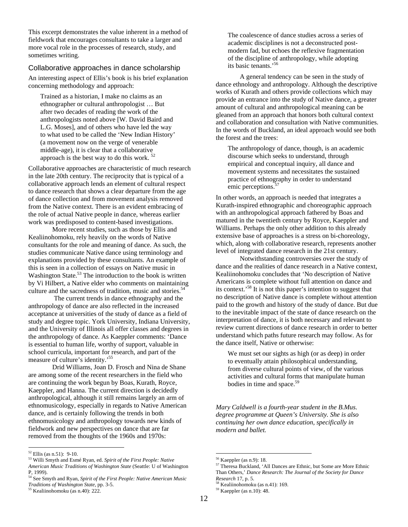This excerpt demonstrates the value inherent in a method of fieldwork that encourages consultants to take a larger and more vocal role in the processes of research, study, and sometimes writing.

#### Collaborative approaches in dance scholarship

An interesting aspect of Ellis's book is his brief explanation concerning methodology and approach:

Trained as a historian, I make no claims as an ethnographer or cultural anthropologist … But after two decades of reading the work of the anthropologists noted above [W. David Baird and L.G. Moses], and of others who have led the way to what used to be called the 'New Indian History' (a movement now on the verge of venerable middle-age), it is clear that a collaborative approach is the best way to do this work.  $52$ 

Collaborative approaches are characteristic of much research in the late 20th century. The reciprocity that is typical of a collaborative approach lends an element of cultural respect to dance research that shows a clear departure from the age of dance collection and from movement analysis removed from the Native context. There is an evident embracing of the role of actual Native people in dance, whereas earlier work was predisposed to content-based investigations.

 More recent studies, such as those by Ellis and Kealiinohomoku, rely heavily on the words of Native consultants for the role and meaning of dance. As such, the studies communicate Native dance using terminology and explanations provided by these consultants. An example of this is seen in a collection of essays on Native music in Washington State. $53$  The introduction to the book is written by Vi Hilbert, a Native elder who comments on maintaining culture and the sacredness of tradition, music and stories.<sup>54</sup>

 The current trends in dance ethnography and the anthropology of dance are also reflected in the increased acceptance at universities of the study of dance as a field of study and degree topic. York University, Indiana University, and the University of Illinois all offer classes and degrees in the anthropology of dance. As Kaeppler comments: 'Dance is essential to human life, worthy of support, valuable in school curricula, important for research, and part of the measure of culture's identity.'55

 Drid Williams, Joan D. Frosch and Nina de Shane are among some of the recent researchers in the field who are continuing the work begun by Boas, Kurath, Royce, Kaeppler, and Hanna. The current direction is decidedly anthropological, although it still remains largely an arm of ethnomusicology, especially in regards to Native American dance, and is certainly following the trends in both ethnomusicology and anthropology towards new kinds of fieldwork and new perspectives on dance that are far removed from the thoughts of the 1960s and 1970s:

 $\overline{a}$ 

The coalescence of dance studies across a series of academic disciplines is not a deconstructed postmodern fad, but echoes the reflexive fragmentation of the discipline of anthropology, while adopting its basic tenants.'56

 A general tendency can be seen in the study of dance ethnology and anthropology. Although the descriptive works of Kurath and others provide collections which may provide an entrance into the study of Native dance, a greater amount of cultural and anthropological meaning can be gleaned from an approach that honors both cultural context and collaboration and consultation with Native communities. In the words of Buckland, an ideal approach would see both the forest and the trees:

The anthropology of dance, though, is an academic discourse which seeks to understand, through empirical and conceptual inquiry, all dance and movement systems and necessitates the sustained practice of ethnography in order to understand emic perceptions.<sup>57</sup>

In other words, an approach is needed that integrates a Kurath-inspired ethnographic and choreographic approach with an anthropological approach fathered by Boas and matured in the twentieth century by Royce, Kaeppler and Williams. Perhaps the only other addition to this already extensive base of approaches is a stress on bi-choreology, which, along with collaborative research, represents another level of integrated dance research in the 21st century.

 Notwithstanding controversies over the study of dance and the realities of dance research in a Native context, Kealiinohomoku concludes that 'No description of Native Americans is complete without full attention on dance and its context.'58 It is not this paper's intention to suggest that no description of Native dance is complete without attention paid to the growth and history of the study of dance. But due to the inevitable impact of the state of dance research on the interpretation of dance, it is both necessary and relevant to review current directions of dance research in order to better understand which paths future research may follow. As for the dance itself, Native or otherwise:

We must set our sights as high (or as deep) in order to eventually attain philosophical understanding, from diverse cultural points of view, of the various activities and cultural forms that manipulate human bodies in time and space.<sup>59</sup>

*Mary Caldwell is a fourth-year student in the B.Mus. degree programme at Queen's University. She is also continuing her own dance education, specifically in modern and ballet.* 

 $52$  Ellis (as n.51): 9-10.

<sup>53</sup> Willi Smyth and Esmé Ryan, ed. *Spirit of the First People: Native American Music Traditions of Washington State* (Seattle: U of Washington P, 1999).

<sup>54</sup> See Smyth and Ryan, *Spirit of the First People: Native American Music* 

*Traditions of Washington State,* pp. 3-5. 55 Kealiinohomoku (as n.40): 222.

<sup>56</sup> Kaeppler (as n.9): 18.

<sup>&</sup>lt;sup>57</sup> Theresa Buckland, 'All Dances are Ethnic, but Some are More Ethnic Than Others,' *Dance Research: The Journal of the Society for Dance* 

<sup>&</sup>lt;sup>58</sup> Kealiinohomoku (as n.41): 169.

<sup>59</sup> Kaeppler (as n.10): 48.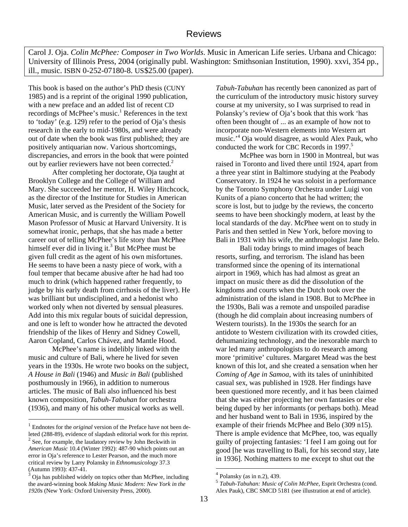Carol J. Oja. *Colin McPhee: Composer in Two Worlds*. Music in American Life series. Urbana and Chicago: University of Illinois Press, 2004 (originally publ. Washington: Smithsonian Institution, 1990). xxvi, 354 pp., ill., music. ISBN 0-252-07180-8. US\$25.00 (paper).

This book is based on the author's PhD thesis (CUNY 1985) and is a reprint of the original 1990 publication, with a new preface and an added list of recent CD recordings of McPhee's music.<sup>1</sup> References in the text to 'today' (e.g. 129) refer to the period of Oja's thesis research in the early to mid-1980s, and were already out of date when the book was first published; they are positively antiquarian now. Various shortcomings, discrepancies, and errors in the book that were pointed out by earlier reviewers have not been corrected.<sup>2</sup>

 After completing her doctorate, Oja taught at Brooklyn College and the College of William and Mary. She succeeded her mentor, H. Wiley Hitchcock, as the director of the Institute for Studies in American Music, later served as the President of the Society for American Music, and is currently the William Powell Mason Professor of Music at Harvard University. It is somewhat ironic, perhaps, that she has made a better career out of telling McPhee's life story than McPhee himself ever did in living it.<sup>3</sup> But McPhee must be given full credit as the agent of his own misfortunes. He seems to have been a nasty piece of work, with a foul temper that became abusive after he had had too much to drink (which happened rather frequently, to judge by his early death from cirrhosis of the liver). He was brilliant but undisciplined, and a hedonist who worked only when not diverted by sensual pleasures. Add into this mix regular bouts of suicidal depression, and one is left to wonder how he attracted the devoted friendship of the likes of Henry and Sidney Cowell, Aaron Copland, Carlos Chávez, and Mantle Hood.

 McPhee's name is indelibly linked with the music and culture of Bali, where he lived for seven years in the 1930s. He wrote two books on the subject, *A House in Bali* (1946) and *Music in Bali* (published posthumously in 1966), in addition to numerous articles. The music of Bali also influenced his best known composition, *Tabuh-Tabuhan* for orchestra (1936), and many of his other musical works as well.

 $\overline{a}$ 

*Tabuh-Tabuhan* has recently been canonized as part of the curriculum of the introductory music history survey course at my university, so I was surprised to read in Polansky's review of Oja's book that this work 'has often been thought of ... as an example of how not to incorporate non-Western elements into Western art music.'<sup>4</sup> Oja would disagree, as would Alex Pauk, who conducted the work for CBC Records in 1997.<sup>5</sup>

 McPhee was born in 1900 in Montreal, but was raised in Toronto and lived there until 1924, apart from a three year stint in Baltimore studying at the Peabody Conservatory. In 1924 he was soloist in a performance by the Toronto Symphony Orchestra under Luigi von Kunits of a piano concerto that he had written; the score is lost, but to judge by the reviews, the concerto seems to have been shockingly modern, at least by the local standards of the day. McPhee went on to study in Paris and then settled in New York, before moving to Bali in 1931 with his wife, the anthropologist Jane Belo.

 Bali today brings to mind images of beach resorts, surfing, and terrorism. The island has been transformed since the opening of its international airport in 1969, which has had almost as great an impact on music there as did the dissolution of the kingdoms and courts when the Dutch took over the administration of the island in 1908. But to McPhee in the 1930s, Bali was a remote and unspoiled paradise (though he did complain about increasing numbers of Western tourists). In the 1930s the search for an antidote to Western civilization with its crowded cities, dehumanizing technology, and the inexorable march to war led many anthropologists to do research among more 'primitive' cultures. Margaret Mead was the best known of this lot, and she created a sensation when her *Coming of Age in Samoa*, with its tales of uninhibited casual sex, was published in 1928. Her findings have been questioned more recently, and it has been claimed that she was either projecting her own fantasies or else being duped by her informants (or perhaps both). Mead and her husband went to Bali in 1936, inspired by the example of their friends McPhee and Belo (309 n15). There is ample evidence that McPhee, too, was equally guilty of projecting fantasies: 'I feel I am going out for good [he was travelling to Bali, for his second stay, late in 1936]. Nothing matters to me except to shut out the

<sup>&</sup>lt;sup>1</sup> Endnotes for the *original* version of the Preface have not been deleted (288-89), evidence of slapdash editorial work for this reprint.  $2^{2}$  See, for example, the laudatory review by John Beckwith in *American Music* 10.4 (Winter 1992): 487-90 which points out an error in Oja's reference to Lester Pearson, and the much more critical review by Larry Polansky in *Ethnomusicology* 37.3 (Autumn 1993): 437-41.

<sup>3</sup> Oja has published widely on topics other than McPhee, including the award-winning book *Making Music Modern: New York in the 1920s* (New York: Oxford University Press, 2000).

 $4$  Polansky (as in n.2), 439.

<sup>5</sup> *Tabuh-Tabuhan: Music of Colin McPhee*, Esprit Orchestra (cond. Alex Pauk), CBC SMCD 5181 (see illustration at end of article).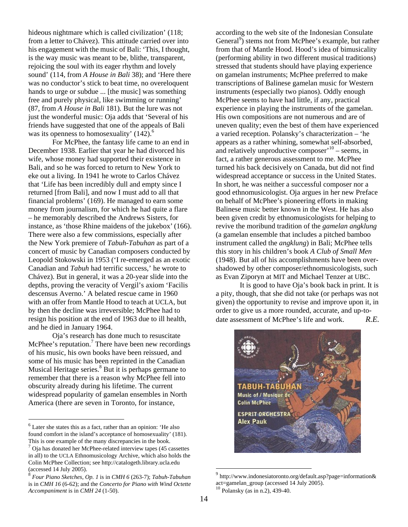hideous nightmare which is called civilization' (118; from a letter to Chávez). This attitude carried over into his engagement with the music of Bali: 'This, I thought, is the way music was meant to be, blithe, transparent, rejoicing the soul with its eager rhythm and lovely sound' (114, from *A House in Bali* 38); and 'Here there was no conductor's stick to beat time, no overeloquent hands to urge or subdue ... [the music] was something free and purely physical, like swimming or running' (87, from *A House in Bali* 181). But the lure was not just the wonderful music: Oja adds that 'Several of his friends have suggested that one of the appeals of Bali was its openness to homosexuality'  $(142)$ .<sup>6</sup>

For McPhee, the fantasy life came to an end in December 1938. Earlier that year he had divorced his wife, whose money had supported their existence in Bali, and so he was forced to return to New York to eke out a living. In 1941 he wrote to Carlos Chávez that 'Life has been incredibly dull and empty since I returned [from Bali], and now I must add to all that financial problems' (169). He managed to earn some money from journalism, for which he had quite a flare – he memorably described the Andrews Sisters, for instance, as 'those Rhine maidens of the jukebox' (166). There were also a few commissions, especially after the New York premiere of *Tabuh-Tabuhan* as part of a concert of music by Canadian composers conducted by Leopold Stokowski in 1953 ('I re-emerged as an exotic Canadian and *Tabuh* had terrific success,' he wrote to Chávez). But in general, it was a 20-year slide into the depths, proving the veracity of Vergil's axiom 'Facilis descensus Averno.' A belated rescue came in 1960 with an offer from Mantle Hood to teach at UCLA, but by then the decline was irreversible; McPhee had to resign his position at the end of 1963 due to ill health, and he died in January 1964.

Oja's research has done much to resuscitate McPhee's reputation.<sup>7</sup> There have been new recordings of his music, his own books have been reissued, and some of his music has been reprinted in the Canadian Musical Heritage series.<sup>8</sup> But it is perhaps germane to remember that there is a reason why McPhee fell into obscurity already during his lifetime. The current widespread popularity of gamelan ensembles in North America (there are seven in Toronto, for instance,

 $\overline{a}$ 

according to the web site of the Indonesian Consulate General<sup>9</sup>) stems not from McPhee's example, but rather from that of Mantle Hood. Hood's idea of bimusicality (performing ability in two different musical traditions) stressed that students should have playing experience on gamelan instruments; McPhee preferred to make transcriptions of Balinese gamelan music for Western instruments (especially two pianos). Oddly enough McPhee seems to have had little, if any, practical experience in playing the instruments of the gamelan. His own compositions are not numerous and are of uneven quality; even the best of them have experienced a varied reception. Polansky's characterization – 'he appears as a rather whining, somewhat self-absorbed, and relatively unproductive composer $10$  – seems, in fact, a rather generous assessment to me. McPhee turned his back decisively on Canada, but did not find widespread acceptance or success in the United States. In short, he was neither a successful composer nor a good ethnomusicologist. Oja argues in her new Preface on behalf of McPhee's pioneering efforts in making Balinese music better known in the West. He has also been given credit by ethnomusicologists for helping to revive the moribund tradition of the *gamelan angklung* (a gamelan ensemble that includes a pitched bamboo instrument called the *angklung*) in Bali; McPhee tells this story in his children's book *A Club of Small Men* (1948). But all of his accomplishments have been overshadowed by other composer/ethnomusicologists, such as Evan Ziporyn at MIT and Michael Tenzer at UBC.

It is good to have Oja's book back in print. It is a pity, though, that she did not take (or perhaps was not given) the opportunity to revise and improve upon it, in order to give us a more rounded, accurate, and up-todate assessment of McPhee's life and work. *R.E.*



 $9$  http://www.indonesiatoronto.org/default.asp?page=information& act=gamelan\_group (accessed 14 July 2005).<br><sup>10</sup> Polansky (as in n.2), 439-40.

 $<sup>6</sup>$  Later she states this as a fact, rather than an opinion: 'He also</sup> found comfort in the island's acceptance of homosexuality' (181).

This is one example of the many discrepancies in the book.<br><sup>7</sup> Oja has donated her McPhee-related interview tapes (45 cassettes) in all) to the UCLA Ethnomusicology Archive, which also holds the Colin McPhee Collection; see http://catalogeth.library.ucla.edu

<sup>(</sup>accessed 14 July 2005). 8 *Four Piano Sketches, Op. 1* is in *CMH 6* (263-7); *Tabuh-Tabuhan* is in *CMH 16* (6-62); and the *Concerto for Piano with Wind Octette Accompaniment* is in *CMH 24* (1-50).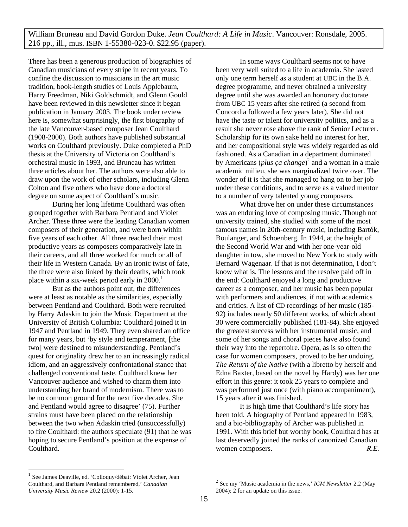William Bruneau and David Gordon Duke. *Jean Coulthard: A Life in Music*. Vancouver: Ronsdale, 2005. 216 pp., ill., mus. ISBN 1-55380-023-0. \$22.95 (paper).

There has been a generous production of biographies of Canadian musicians of every stripe in recent years. To confine the discussion to musicians in the art music tradition, book-length studies of Louis Applebaum, Harry Freedman, Niki Goldschmidt, and Glenn Gould have been reviewed in this newsletter since it began publication in January 2003. The book under review here is, somewhat surprisingly, the first biography of the late Vancouver-based composer Jean Coulthard (1908-2000). Both authors have published substantial works on Coulthard previously. Duke completed a PhD thesis at the University of Victoria on Coulthard's orchestral music in 1993, and Bruneau has written three articles about her. The authors were also able to draw upon the work of other scholars, including Glenn Colton and five others who have done a doctoral degree on some aspect of Coulthard's music.

During her long lifetime Coulthard was often grouped together with Barbara Pentland and Violet Archer. These three were the leading Canadian women composers of their generation, and were born within five years of each other. All three reached their most productive years as composers comparatively late in their careers, and all three worked for much or all of their life in Western Canada. By an ironic twist of fate, the three were also linked by their deaths, which took place within a six-week period early in  $2000$ .<sup>1</sup>

But as the authors point out, the differences were at least as notable as the similarities, especially between Pentland and Coulthard. Both were recruited by Harry Adaskin to join the Music Department at the University of British Columbia: Coulthard joined it in 1947 and Pentland in 1949. They even shared an office for many years, but 'by style and temperament, [the two] were destined to misunderstanding. Pentland's quest for originality drew her to an increasingly radical idiom, and an aggressively confrontational stance that challenged conventional taste. Coulthard knew her Vancouver audience and wished to charm them into understanding her brand of modernism. There was to be no common ground for the next five decades. She and Pentland would agree to disagree' (75). Further strains must have been placed on the relationship between the two when Adaskin tried (unsuccessfully) to fire Coulthard: the authors speculate (91) that he was hoping to secure Pentland's position at the expense of Coulthard.

In some ways Coulthard seems not to have been very well suited to a life in academia. She lasted only one term herself as a student at UBC in the B.A. degree programme, and never obtained a university degree until she was awarded an honorary doctorate from UBC 15 years after she retired (a second from Concordia followed a few years later). She did not have the taste or talent for university politics, and as a result she never rose above the rank of Senior Lecturer. Scholarship for its own sake held no interest for her, and her compositional style was widely regarded as old fashioned. As a Canadian in a department dominated by Americans (*plus ça change*)<sup>2</sup> and a woman in a male academic milieu, she was marginalized twice over. The wonder of it is that she managed to hang on to her job under these conditions, and to serve as a valued mentor to a number of very talented young composers.

 What drove her on under these circumstances was an enduring love of composing music. Though not university trained, she studied with some of the most famous names in 20th-century music, including Bartók, Boulanger, and Schoenberg. In 1944, at the height of the Second World War and with her one-year-old daughter in tow, she moved to New York to study with Bernard Wagenaar. If that is not determination, I don't know what is. The lessons and the resolve paid off in the end: Coulthard enjoyed a long and productive career as a composer, and her music has been popular with performers and audiences, if not with academics and critics. A list of CD recordings of her music (185- 92) includes nearly 50 different works, of which about 30 were commercially published (181-84). She enjoyed the greatest success with her instrumental music, and some of her songs and choral pieces have also found their way into the repertoire. Opera, as is so often the case for women composers, proved to be her undoing. *The Return of the Native* (with a libretto by herself and Edna Baxter, based on the novel by Hardy) was her one effort in this genre: it took 25 years to complete and was performed just once (with piano accompaniment), 15 years after it was finished.

 It is high time that Coulthard's life story has been told. A biography of Pentland appeared in 1983, and a bio-bibliography of Archer was published in 1991. With this brief but worthy book, Coulthard has at last deservedly joined the ranks of canonized Canadian women composers.  $R.E.$ 

 <sup>1</sup> See James Deaville, ed. 'Colloquy/débat: Violet Archer, Jean Coulthard, and Barbara Pentland remembered,' *Canadian University Music Review* 20.2 (2000): 1-15.

<sup>2</sup> See my 'Music academia in the news,' *ICM Newsletter* 2.2 (May 2004): 2 for an update on this issue.